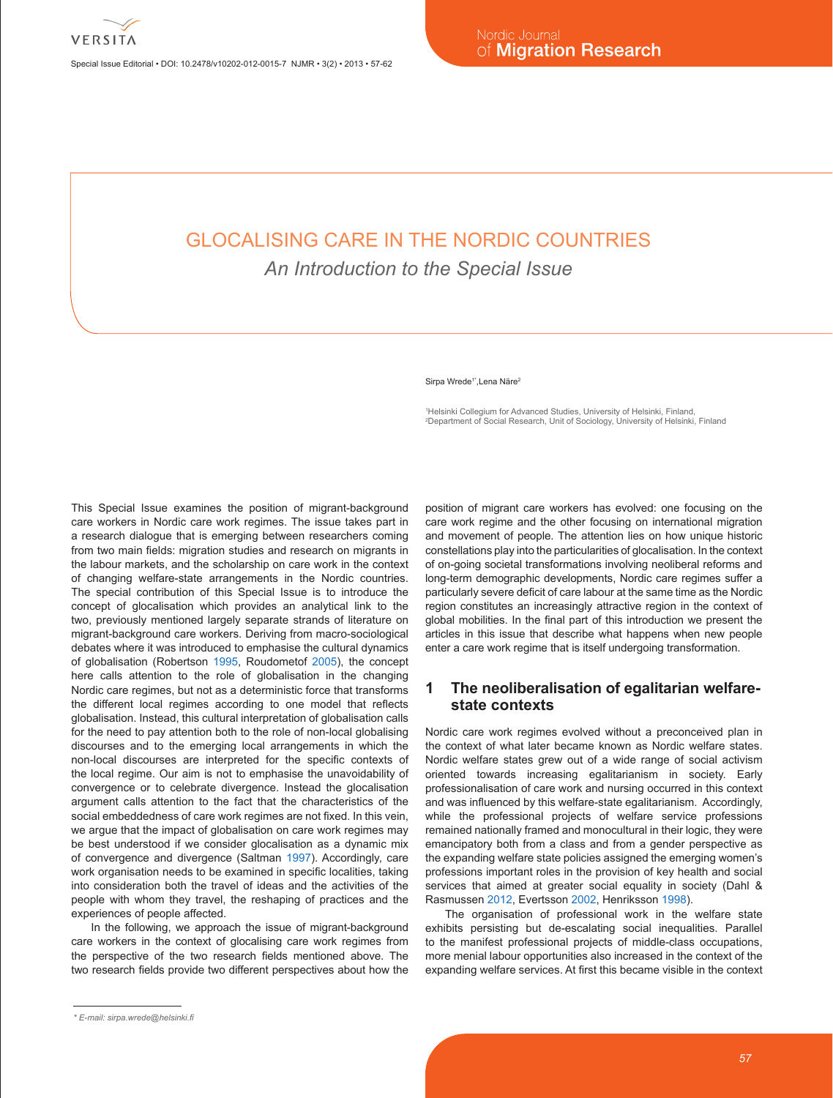Special Issue Editorial • DOI: 10.2478/v10202-012-0015-7 NJMR • 3(2) • 2013 • 57-62

# GLOCALISING CARE IN THE NORDIC COUNTRIES *An Introduction to the Special Issue*

Sirpa Wrede<sup>1\*</sup>,Lena Näre<sup>2</sup>

1 Helsinki Collegium for Advanced Studies, University of Helsinki, Finland, 2 Department of Social Research, Unit of Sociology, University of Helsinki, Finland

This Special Issue examines the position of migrant-background care workers in Nordic care work regimes. The issue takes part in a research dialogue that is emerging between researchers coming from two main fields: migration studies and research on migrants in the labour markets, and the scholarship on care work in the context of changing welfare-state arrangements in the Nordic countries. The special contribution of this Special Issue is to introduce the concept of glocalisation which provides an analytical link to the two, previously mentioned largely separate strands of literature on migrant-background care workers. Deriving from macro-sociological debates where it was introduced to emphasise the cultural dynamics of globalisation (Robertson [1995](#page-5-0), Roudometof [2005\)](#page-5-1), the concept here calls attention to the role of globalisation in the changing Nordic care regimes, but not as a deterministic force that transforms the different local regimes according to one model that reflects globalisation. Instead, this cultural interpretation of globalisation calls for the need to pay attention both to the role of non-local globalising discourses and to the emerging local arrangements in which the non-local discourses are interpreted for the specific contexts of the local regime. Our aim is not to emphasise the unavoidability of convergence or to celebrate divergence. Instead the glocalisation argument calls attention to the fact that the characteristics of the social embeddedness of care work regimes are not fixed. In this vein, we argue that the impact of globalisation on care work regimes may be best understood if we consider glocalisation as a dynamic mix of convergence and divergence (Saltman [1997](#page-5-2)). Accordingly, care work organisation needs to be examined in specific localities, taking into consideration both the travel of ideas and the activities of the people with whom they travel, the reshaping of practices and the experiences of people affected.

In the following, we approach the issue of migrant-background care workers in the context of glocalising care work regimes from the perspective of the two research fields mentioned above. The two research fields provide two different perspectives about how the position of migrant care workers has evolved: one focusing on the care work regime and the other focusing on international migration and movement of people. The attention lies on how unique historic constellations play into the particularities of glocalisation. In the context of on-going societal transformations involving neoliberal reforms and long-term demographic developments, Nordic care regimes suffer a particularly severe deficit of care labour at the same time as the Nordic region constitutes an increasingly attractive region in the context of global mobilities. In the final part of this introduction we present the articles in this issue that describe what happens when new people enter a care work regime that is itself undergoing transformation.

### **1 The neoliberalisation of egalitarian welfare state contexts**

Nordic care work regimes evolved without a preconceived plan in the context of what later became known as Nordic welfare states. Nordic welfare states grew out of a wide range of social activism oriented towards increasing egalitarianism in society. Early professionalisation of care work and nursing occurred in this context and was influenced by this welfare-state egalitarianism. Accordingly, while the professional projects of welfare service professions remained nationally framed and monocultural in their logic, they were emancipatory both from a class and from a gender perspective as the expanding welfare state policies assigned the emerging women's professions important roles in the provision of key health and social services that aimed at greater social equality in society (Dahl & Rasmussen [2012](#page-4-0), Evertsson [2002](#page-4-1), Henriksson [1998\)](#page-4-2).

The organisation of professional work in the welfare state exhibits persisting but de-escalating social inequalities. Parallel to the manifest professional projects of middle-class occupations, more menial labour opportunities also increased in the context of the expanding welfare services. At first this became visible in the context

*<sup>\*</sup> E-mail: sirpa.wrede@helsinki.fi*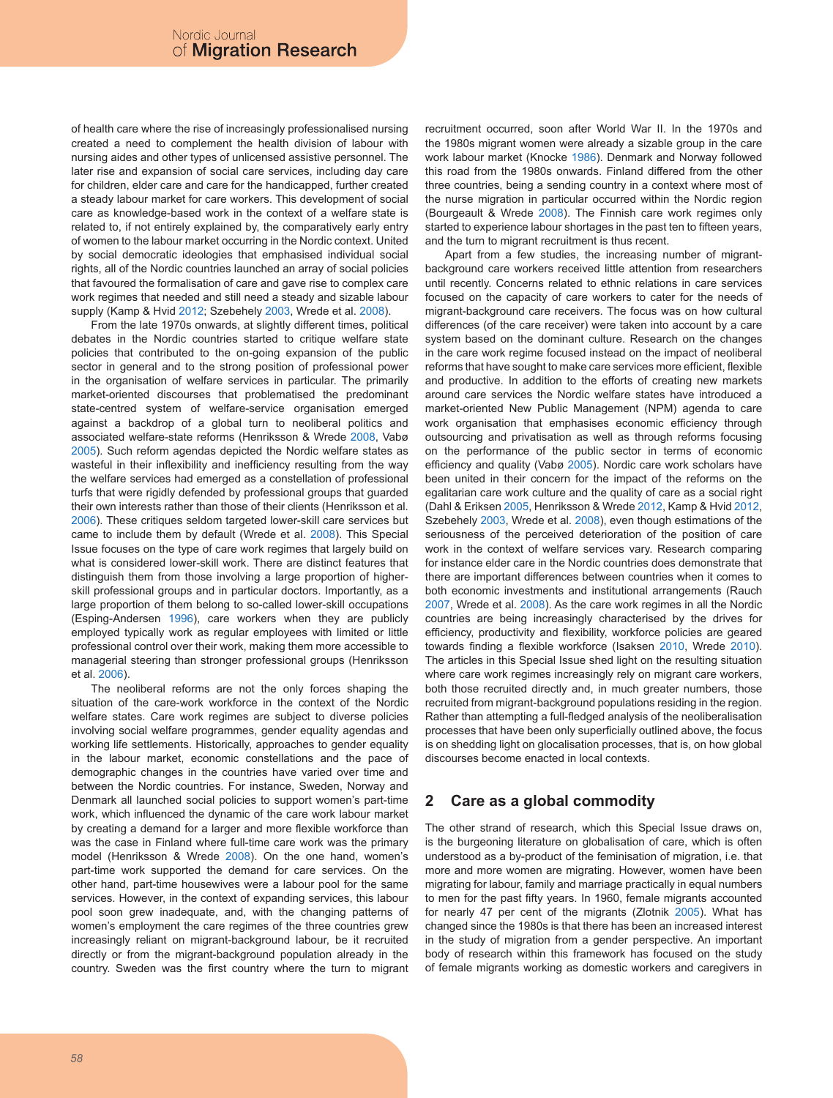of health care where the rise of increasingly professionalised nursing created a need to complement the health division of labour with nursing aides and other types of unlicensed assistive personnel. The later rise and expansion of social care services, including day care for children, elder care and care for the handicapped, further created a steady labour market for care workers. This development of social care as knowledge-based work in the context of a welfare state is related to, if not entirely explained by, the comparatively early entry of women to the labour market occurring in the Nordic context. United by social democratic ideologies that emphasised individual social rights, all of the Nordic countries launched an array of social policies that favoured the formalisation of care and gave rise to complex care work regimes that needed and still need a steady and sizable labour supply (Kamp & Hvid [2012;](#page-4-3) Szebehely [2003,](#page-5-3) Wrede et al. [2008\)](#page-5-4).

From the late 1970s onwards, at slightly different times, political debates in the Nordic countries started to critique welfare state policies that contributed to the on-going expansion of the public sector in general and to the strong position of professional power in the organisation of welfare services in particular. The primarily market-oriented discourses that problematised the predominant state-centred system of welfare-service organisation emerged against a backdrop of a global turn to neoliberal politics and associated welfare-state reforms (Henriksson & Wrede [2008](#page-4-4), Vabø [2005\)](#page-5-5). Such reform agendas depicted the Nordic welfare states as wasteful in their inflexibility and inefficiency resulting from the way the welfare services had emerged as a constellation of professional turfs that were rigidly defended by professional groups that guarded their own interests rather than those of their clients (Henriksson et al. [2006\)](#page-4-5). These critiques seldom targeted lower-skill care services but came to include them by default (Wrede et al. [2008\)](#page-5-4). This Special Issue focuses on the type of care work regimes that largely build on what is considered lower-skill work. There are distinct features that distinguish them from those involving a large proportion of higherskill professional groups and in particular doctors. Importantly, as a large proportion of them belong to so-called lower-skill occupations (Esping-Andersen [1996](#page-4-6)), care workers when they are publicly employed typically work as regular employees with limited or little professional control over their work, making them more accessible to managerial steering than stronger professional groups (Henriksson et al. [2006](#page-4-5)).

The neoliberal reforms are not the only forces shaping the situation of the care-work workforce in the context of the Nordic welfare states. Care work regimes are subject to diverse policies involving social welfare programmes, gender equality agendas and working life settlements. Historically, approaches to gender equality in the labour market, economic constellations and the pace of demographic changes in the countries have varied over time and between the Nordic countries. For instance, Sweden, Norway and Denmark all launched social policies to support women's part-time work, which influenced the dynamic of the care work labour market by creating a demand for a larger and more flexible workforce than was the case in Finland where full-time care work was the primary model (Henriksson & Wrede [2008](#page-4-4)). On the one hand, women's part-time work supported the demand for care services. On the other hand, part-time housewives were a labour pool for the same services. However, in the context of expanding services, this labour pool soon grew inadequate, and, with the changing patterns of women's employment the care regimes of the three countries grew increasingly reliant on migrant-background labour, be it recruited directly or from the migrant-background population already in the country. Sweden was the first country where the turn to migrant

recruitment occurred, soon after World War II. In the 1970s and the 1980s migrant women were already a sizable group in the care work labour market (Knocke [1986](#page-4-7)). Denmark and Norway followed this road from the 1980s onwards. Finland differed from the other three countries, being a sending country in a context where most of the nurse migration in particular occurred within the Nordic region (Bourgeault & Wrede [2008](#page-4-8)). The Finnish care work regimes only started to experience labour shortages in the past ten to fifteen years, and the turn to migrant recruitment is thus recent.

Apart from a few studies, the increasing number of migrantbackground care workers received little attention from researchers until recently. Concerns related to ethnic relations in care services focused on the capacity of care workers to cater for the needs of migrant-background care receivers. The focus was on how cultural differences (of the care receiver) were taken into account by a care system based on the dominant culture. Research on the changes in the care work regime focused instead on the impact of neoliberal reforms that have sought to make care services more efficient, flexible and productive. In addition to the efforts of creating new markets around care services the Nordic welfare states have introduced a market-oriented New Public Management (NPM) agenda to care work organisation that emphasises economic efficiency through outsourcing and privatisation as well as through reforms focusing on the performance of the public sector in terms of economic efficiency and quality (Vabø [2005\)](#page-5-5). Nordic care work scholars have been united in their concern for the impact of the reforms on the egalitarian care work culture and the quality of care as a social right (Dahl & Eriksen [2005](#page-4-9), Henriksson & Wrede [2012,](#page-4-10) Kamp & Hvid [2012,](#page-4-3) Szebehely [2003](#page-5-3), Wrede et al. [2008\)](#page-5-4), even though estimations of the seriousness of the perceived deterioration of the position of care work in the context of welfare services vary. Research comparing for instance elder care in the Nordic countries does demonstrate that there are important differences between countries when it comes to both economic investments and institutional arrangements (Rauch [2007,](#page-5-6) Wrede et al. [2008\)](#page-5-4). As the care work regimes in all the Nordic countries are being increasingly characterised by the drives for efficiency, productivity and flexibility, workforce policies are geared towards finding a flexible workforce (Isaksen [2010,](#page-4-11) Wrede [2010](#page-5-7)). The articles in this Special Issue shed light on the resulting situation where care work regimes increasingly rely on migrant care workers, both those recruited directly and, in much greater numbers, those recruited from migrant-background populations residing in the region. Rather than attempting a full-fledged analysis of the neoliberalisation processes that have been only superficially outlined above, the focus is on shedding light on glocalisation processes, that is, on how global discourses become enacted in local contexts.

### **2 Care as a global commodity**

The other strand of research, which this Special Issue draws on, is the burgeoning literature on globalisation of care, which is often understood as a by-product of the feminisation of migration, i.e. that more and more women are migrating. However, women have been migrating for labour, family and marriage practically in equal numbers to men for the past fifty years. In 1960, female migrants accounted for nearly 47 per cent of the migrants (Zlotnik [2005](#page-5-8)). What has changed since the 1980s is that there has been an increased interest in the study of migration from a gender perspective. An important body of research within this framework has focused on the study of female migrants working as domestic workers and caregivers in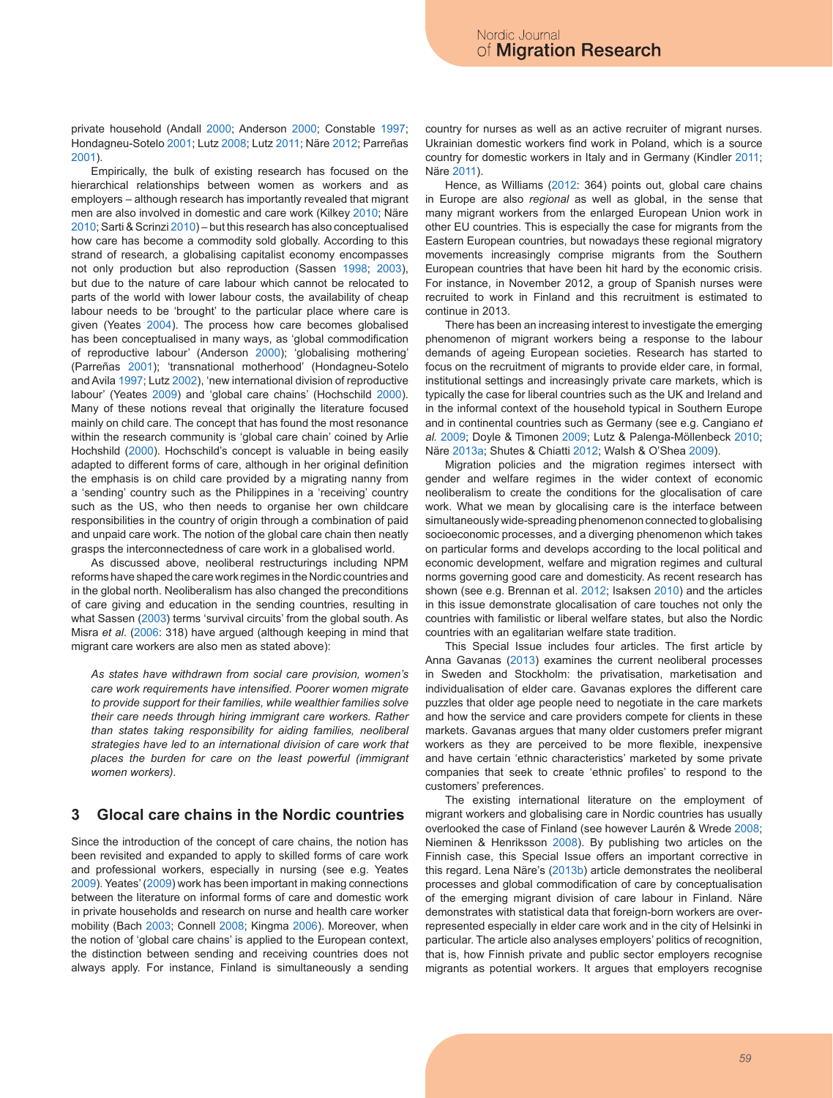private household (Andall [2000](#page-4-12); Anderson [2000;](#page-4-13) Constable [1997](#page-4-14); Hondagneu-Sotelo [2001](#page-4-15); Lutz [2008](#page-4-16); Lutz [2011](#page-4-17); Näre [2012;](#page-5-9) Parreñas [2001\)](#page-5-10).

Empirically, the bulk of existing research has focused on the hierarchical relationships between women as workers and as employers – although research has importantly revealed that migrant men are also involved in domestic and care work (Kilkey [2010](#page-4-18); Näre [2010;](#page-4-19) Sarti & Scrinzi [2010\)](#page-5-11) – but this research has also conceptualised how care has become a commodity sold globally. According to this strand of research, a globalising capitalist economy encompasses not only production but also reproduction (Sassen [1998](#page-5-12); [2003](#page-5-13)), but due to the nature of care labour which cannot be relocated to parts of the world with lower labour costs, the availability of cheap labour needs to be 'brought' to the particular place where care is given (Yeates [2004\)](#page-5-14). The process how care becomes globalised has been conceptualised in many ways, as 'global commodification of reproductive labour' (Anderson [2000\)](#page-4-13); 'globalising mothering' (Parreñas [2001](#page-5-10)); 'transnational motherhood' (Hondagneu-Sotelo and Avila [1997](#page-4-20); Lutz [2002](#page-4-21)), 'new international division of reproductive labour' (Yeates [2009\)](#page-5-15) and 'global care chains' (Hochschild [2000](#page-4-22)). Many of these notions reveal that originally the literature focused mainly on child care. The concept that has found the most resonance within the research community is 'global care chain' coined by Arlie Hochshild [\(2000\)](#page-4-22). Hochschild's concept is valuable in being easily adapted to different forms of care, although in her original definition the emphasis is on child care provided by a migrating nanny from a 'sending' country such as the Philippines in a 'receiving' country such as the US, who then needs to organise her own childcare responsibilities in the country of origin through a combination of paid and unpaid care work. The notion of the global care chain then neatly grasps the interconnectedness of care work in a globalised world.

As discussed above, neoliberal restructurings including NPM reforms have shaped the care work regimes in the Nordic countries and in the global north. Neoliberalism has also changed the preconditions of care giving and education in the sending countries, resulting in what Sassen [\(2003\)](#page-5-13) terms 'survival circuits' from the global south. As Misra *et al*. ([2006:](#page-4-23) 318) have argued (although keeping in mind that migrant care workers are also men as stated above):

*As states have withdrawn from social care provision, women's care work requirements have intensified. Poorer women migrate to provide support for their families, while wealthier families solve their care needs through hiring immigrant care workers. Rather than states taking responsibility for aiding families, neoliberal strategies have led to an international division of care work that places the burden for care on the least powerful (immigrant women workers).*

### **3 Glocal care chains in the Nordic countries**

Since the introduction of the concept of care chains, the notion has been revisited and expanded to apply to skilled forms of care work and professional workers, especially in nursing (see e.g. Yeates [2009\)](#page-5-15). Yeates' ([2009\)](#page-5-15) work has been important in making connections between the literature on informal forms of care and domestic work in private households and research on nurse and health care worker mobility (Bach [2003](#page-4-24); Connell [2008;](#page-4-25) Kingma [2006](#page-4-26)). Moreover, when the notion of 'global care chains' is applied to the European context, the distinction between sending and receiving countries does not always apply. For instance, Finland is simultaneously a sending

country for nurses as well as an active recruiter of migrant nurses. Ukrainian domestic workers find work in Poland, which is a source country for domestic workers in Italy and in Germany (Kindler [2011](#page-4-27); Näre [2011\)](#page-4-28).

Hence, as Williams ([2012](#page-5-16): 364) points out, global care chains in Europe are also *regional* as well as global, in the sense that many migrant workers from the enlarged European Union work in other EU countries. This is especially the case for migrants from the Eastern European countries, but nowadays these regional migratory movements increasingly comprise migrants from the Southern European countries that have been hit hard by the economic crisis. For instance, in November 2012, a group of Spanish nurses were recruited to work in Finland and this recruitment is estimated to continue in 2013.

There has been an increasing interest to investigate the emerging phenomenon of migrant workers being a response to the labour demands of ageing European societies. Research has started to focus on the recruitment of migrants to provide elder care, in formal, institutional settings and increasingly private care markets, which is typically the case for liberal countries such as the UK and Ireland and in the informal context of the household typical in Southern Europe and in continental countries such as Germany (see e.g. Cangiano *et al.* [2009;](#page-4-29) Doyle & Timonen [2009;](#page-4-30) Lutz & Palenga-Möllenbeck [2010](#page-4-31); Näre [2013a;](#page-5-17) Shutes & Chiatti [2012;](#page-5-18) Walsh & O'Shea [2009\)](#page-5-19).

Migration policies and the migration regimes intersect with gender and welfare regimes in the wider context of economic neoliberalism to create the conditions for the glocalisation of care work. What we mean by glocalising care is the interface between simultaneously wide-spreading phenomenon connected to globalising socioeconomic processes, and a diverging phenomenon which takes on particular forms and develops according to the local political and economic development, welfare and migration regimes and cultural norms governing good care and domesticity. As recent research has shown (see e.g. Brennan et al. [2012](#page-4-32); Isaksen [2010\)](#page-4-11) and the articles in this issue demonstrate glocalisation of care touches not only the countries with familistic or liberal welfare states, but also the Nordic countries with an egalitarian welfare state tradition.

This Special Issue includes four articles. The first article by Anna Gavanas ([2013\)](#page-4-33) examines the current neoliberal processes in Sweden and Stockholm: the privatisation, marketisation and individualisation of elder care. Gavanas explores the different care puzzles that older age people need to negotiate in the care markets and how the service and care providers compete for clients in these markets. Gavanas argues that many older customers prefer migrant workers as they are perceived to be more flexible, inexpensive and have certain 'ethnic characteristics' marketed by some private companies that seek to create 'ethnic profiles' to respond to the customers' preferences.

The existing international literature on the employment of migrant workers and globalising care in Nordic countries has usually overlooked the case of Finland (see however Laurén & Wrede [2008](#page-4-34); Nieminen & Henriksson [2008](#page-4-35)). By publishing two articles on the Finnish case, this Special Issue offers an important corrective in this regard. Lena Näre's [\(2013b](#page-5-20)) article demonstrates the neoliberal processes and global commodification of care by conceptualisation of the emerging migrant division of care labour in Finland. Näre demonstrates with statistical data that foreign-born workers are overrepresented especially in elder care work and in the city of Helsinki in particular. The article also analyses employers' politics of recognition, that is, how Finnish private and public sector employers recognise migrants as potential workers. It argues that employers recognise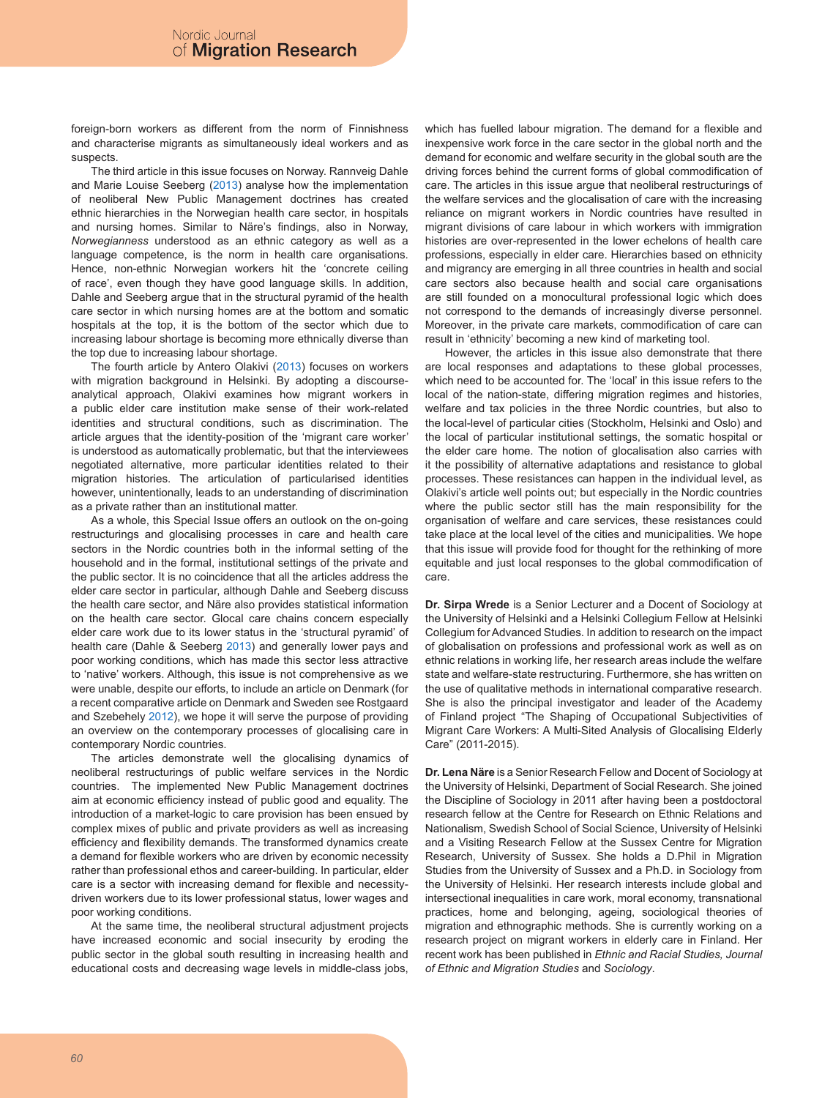foreign-born workers as different from the norm of Finnishness and characterise migrants as simultaneously ideal workers and as suspects.

The third article in this issue focuses on Norway. Rannveig Dahle and Marie Louise Seeberg [\(2013](#page-4-36)) analyse how the implementation of neoliberal New Public Management doctrines has created ethnic hierarchies in the Norwegian health care sector, in hospitals and nursing homes. Similar to Näre's findings, also in Norway, *Norwegianness* understood as an ethnic category as well as a language competence, is the norm in health care organisations. Hence, non-ethnic Norwegian workers hit the 'concrete ceiling of race', even though they have good language skills. In addition, Dahle and Seeberg argue that in the structural pyramid of the health care sector in which nursing homes are at the bottom and somatic hospitals at the top, it is the bottom of the sector which due to increasing labour shortage is becoming more ethnically diverse than the top due to increasing labour shortage.

The fourth article by Antero Olakivi ([2013\)](#page-5-21) focuses on workers with migration background in Helsinki. By adopting a discourseanalytical approach, Olakivi examines how migrant workers in a public elder care institution make sense of their work-related identities and structural conditions, such as discrimination. The article argues that the identity-position of the 'migrant care worker' is understood as automatically problematic, but that the interviewees negotiated alternative, more particular identities related to their migration histories. The articulation of particularised identities however, unintentionally, leads to an understanding of discrimination as a private rather than an institutional matter.

As a whole, this Special Issue offers an outlook on the on-going restructurings and glocalising processes in care and health care sectors in the Nordic countries both in the informal setting of the household and in the formal, institutional settings of the private and the public sector. It is no coincidence that all the articles address the elder care sector in particular, although Dahle and Seeberg discuss the health care sector, and Näre also provides statistical information on the health care sector. Glocal care chains concern especially elder care work due to its lower status in the 'structural pyramid' of health care (Dahle & Seeberg [2013\)](#page-4-36) and generally lower pays and poor working conditions, which has made this sector less attractive to 'native' workers. Although, this issue is not comprehensive as we were unable, despite our efforts, to include an article on Denmark (for a recent comparative article on Denmark and Sweden see Rostgaard and Szebehely [2012](#page-5-22)), we hope it will serve the purpose of providing an overview on the contemporary processes of glocalising care in contemporary Nordic countries.

The articles demonstrate well the glocalising dynamics of neoliberal restructurings of public welfare services in the Nordic countries. The implemented New Public Management doctrines aim at economic efficiency instead of public good and equality. The introduction of a market-logic to care provision has been ensued by complex mixes of public and private providers as well as increasing efficiency and flexibility demands. The transformed dynamics create a demand for flexible workers who are driven by economic necessity rather than professional ethos and career-building. In particular, elder care is a sector with increasing demand for flexible and necessitydriven workers due to its lower professional status, lower wages and poor working conditions.

At the same time, the neoliberal structural adjustment projects have increased economic and social insecurity by eroding the public sector in the global south resulting in increasing health and educational costs and decreasing wage levels in middle-class jobs, which has fuelled labour migration. The demand for a flexible and inexpensive work force in the care sector in the global north and the demand for economic and welfare security in the global south are the driving forces behind the current forms of global commodification of care. The articles in this issue argue that neoliberal restructurings of the welfare services and the glocalisation of care with the increasing reliance on migrant workers in Nordic countries have resulted in migrant divisions of care labour in which workers with immigration histories are over-represented in the lower echelons of health care professions, especially in elder care. Hierarchies based on ethnicity and migrancy are emerging in all three countries in health and social care sectors also because health and social care organisations are still founded on a monocultural professional logic which does not correspond to the demands of increasingly diverse personnel. Moreover, in the private care markets, commodification of care can result in 'ethnicity' becoming a new kind of marketing tool.

However, the articles in this issue also demonstrate that there are local responses and adaptations to these global processes, which need to be accounted for. The 'local' in this issue refers to the local of the nation-state, differing migration regimes and histories, welfare and tax policies in the three Nordic countries, but also to the local-level of particular cities (Stockholm, Helsinki and Oslo) and the local of particular institutional settings, the somatic hospital or the elder care home. The notion of glocalisation also carries with it the possibility of alternative adaptations and resistance to global processes. These resistances can happen in the individual level, as Olakivi's article well points out; but especially in the Nordic countries where the public sector still has the main responsibility for the organisation of welfare and care services, these resistances could take place at the local level of the cities and municipalities. We hope that this issue will provide food for thought for the rethinking of more equitable and just local responses to the global commodification of care.

**Dr. Sirpa Wrede** is a Senior Lecturer and a Docent of Sociology at the University of Helsinki and a Helsinki Collegium Fellow at Helsinki Collegium for Advanced Studies. In addition to research on the impact of globalisation on professions and professional work as well as on ethnic relations in working life, her research areas include the welfare state and welfare-state restructuring. Furthermore, she has written on the use of qualitative methods in international comparative research. She is also the principal investigator and leader of the Academy of Finland project "The Shaping of Occupational Subjectivities of Migrant Care Workers: A Multi-Sited Analysis of Glocalising Elderly Care" (2011-2015).

**Dr. Lena Näre** is a Senior Research Fellow and Docent of Sociology at the University of Helsinki, Department of Social Research. She joined the Discipline of Sociology in 2011 after having been a postdoctoral research fellow at the Centre for Research on Ethnic Relations and Nationalism, Swedish School of Social Science, University of Helsinki and a Visiting Research Fellow at the Sussex Centre for Migration Research, University of Sussex. She holds a D.Phil in Migration Studies from the University of Sussex and a Ph.D. in Sociology from the University of Helsinki. Her research interests include global and intersectional inequalities in care work, moral economy, transnational practices, home and belonging, ageing, sociological theories of migration and ethnographic methods. She is currently working on a research project on migrant workers in elderly care in Finland. Her recent work has been published in *Ethnic and Racial Studies, Journal of Ethnic and Migration Studies* and *Sociology*.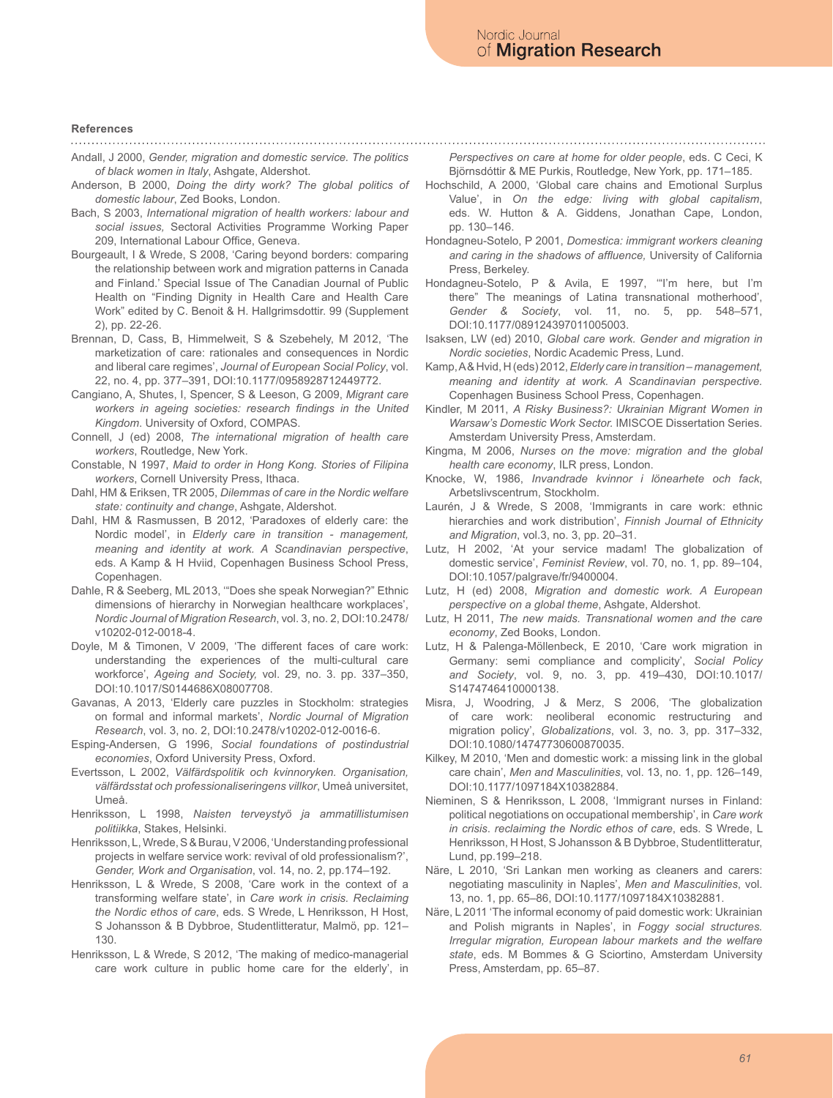## **References**

- <span id="page-4-12"></span>Andall, J 2000, *Gender, migration and domestic service. The politics of black women in Italy*, Ashgate, Aldershot.
- <span id="page-4-13"></span>Anderson, B 2000, *Doing the dirty work? The global politics of domestic labour*, Zed Books, London.
- <span id="page-4-24"></span>Bach, S 2003, *International migration of health workers: labour and social issues,* Sectoral Activities Programme Working Paper 209, International Labour Office, Geneva.
- <span id="page-4-8"></span>Bourgeault, I & Wrede, S 2008, 'Caring beyond borders: comparing the relationship between work and migration patterns in Canada and Finland.' Special Issue of The Canadian Journal of Public Health on "Finding Dignity in Health Care and Health Care Work" edited by C. Benoit & H. Hallgrimsdottir. 99 (Supplement 2), pp. 22-26.
- <span id="page-4-32"></span>Brennan, D, Cass, B, Himmelweit, S & Szebehely, M 2012, 'The marketization of care: rationales and consequences in Nordic and liberal care regimes', *Journal of European Social Policy*, vol. 22, no. 4, pp. 377–391, DOI:10.1177/0958928712449772.
- <span id="page-4-29"></span>Cangiano, A, Shutes, I, Spencer, S & Leeson, G 2009, *Migrant care workers in ageing societies: research findings in the United Kingdom*. University of Oxford, COMPAS.
- <span id="page-4-25"></span>Connell, J (ed) 2008, *The international migration of health care workers*, Routledge, New York.
- <span id="page-4-14"></span>Constable, N 1997, *Maid to order in Hong Kong. Stories of Filipina workers*, Cornell University Press, Ithaca.
- <span id="page-4-9"></span>Dahl, HM & Eriksen, TR 2005, *Dilemmas of care in the Nordic welfare state: continuity and change*, Ashgate, Aldershot.
- <span id="page-4-0"></span>Dahl, HM & Rasmussen, B 2012, 'Paradoxes of elderly care: the Nordic model', in *Elderly care in transition - management, meaning and identity at work. A Scandinavian perspective*, eds. A Kamp & H Hviid, Copenhagen Business School Press, Copenhagen.
- <span id="page-4-36"></span>Dahle, R & Seeberg, ML 2013, '"Does she speak Norwegian?" Ethnic dimensions of hierarchy in Norwegian healthcare workplaces', *Nordic Journal of Migration Research*, vol. 3, no. 2, DOI:10.2478/ v10202-012-0018-4.
- <span id="page-4-30"></span>Doyle, M & Timonen, V 2009, 'The different faces of care work: understanding the experiences of the multi-cultural care workforce', *Ageing and Society,* vol. 29, no. 3. pp. 337–350, DOI:10.1017/S0144686X08007708.
- <span id="page-4-33"></span>Gavanas, A 2013, 'Elderly care puzzles in Stockholm: strategies on formal and informal markets', *Nordic Journal of Migration Research*, vol. 3, no. 2, DOI:10.2478/v10202-012-0016-6.
- <span id="page-4-6"></span>Esping-Andersen, G 1996, *Social foundations of postindustrial economies*, Oxford University Press, Oxford.
- <span id="page-4-1"></span>Evertsson, L 2002, *Välfärdspolitik och kvinnoryken. Organisation, välfärdsstat och professionaliseringens villkor*, Umeå universitet, Umeå.
- <span id="page-4-2"></span>Henriksson, L 1998, *Naisten terveystyö ja ammatillistumisen politiikka*, Stakes, Helsinki.
- <span id="page-4-5"></span>Henriksson, L, Wrede, S & Burau, V 2006, 'Understanding professional projects in welfare service work: revival of old professionalism?', *Gender, Work and Organisation*, vol. 14, no. 2, pp.174–192.
- <span id="page-4-4"></span>Henriksson, L & Wrede, S 2008, 'Care work in the context of a transforming welfare state', in *Care work in crisis. Reclaiming the Nordic ethos of care*, eds. S Wrede, L Henriksson, H Host, S Johansson & B Dybbroe, Studentlitteratur, Malmö, pp. 121– 130.
- <span id="page-4-10"></span>Henriksson, L & Wrede, S 2012, 'The making of medico-managerial care work culture in public home care for the elderly', in

*Perspectives on care at home for older people*, eds. C Ceci, K Björnsdóttir & ME Purkis, Routledge, New York, pp. 171–185.

- <span id="page-4-22"></span>Hochschild, A 2000, 'Global care chains and Emotional Surplus Value', in *On the edge: living with global capitalism*, eds. W. Hutton & A. Giddens, Jonathan Cape, London, pp. 130–146.
- <span id="page-4-15"></span>Hondagneu-Sotelo, P 2001, *Domestica: immigrant workers cleaning and caring in the shadows of affluence,* University of California Press, Berkeley.
- <span id="page-4-20"></span>Hondagneu-Sotelo, P & Avila, E 1997, '"I'm here, but I'm there" The meanings of Latina transnational motherhood', *Gender & Society*, vol. 11, no. 5, pp. 548–571, DOI:10.1177/089124397011005003.
- <span id="page-4-11"></span>Isaksen, LW (ed) 2010, *Global care work. Gender and migration in Nordic societies*, Nordic Academic Press, Lund.
- <span id="page-4-3"></span>Kamp, A & Hvid, H (eds) 2012, *Elderly care in transition – management, meaning and identity at work. A Scandinavian perspective.* Copenhagen Business School Press, Copenhagen.
- <span id="page-4-27"></span>Kindler, M 2011, *A Risky Business?: Ukrainian Migrant Women in Warsaw's Domestic Work Sector.* IMISCOE Dissertation Series. Amsterdam University Press, Amsterdam.
- <span id="page-4-26"></span>Kingma, M 2006, *Nurses on the move: migration and the global health care economy*, ILR press, London.
- <span id="page-4-7"></span>Knocke, W, 1986, *Invandrade kvinnor i lönearhete och fack*, Arbetslivscentrum, Stockholm.
- <span id="page-4-34"></span>Laurén, J & Wrede, S 2008, 'Immigrants in care work: ethnic hierarchies and work distribution', *Finnish Journal of Ethnicity and Migration*, vol.3, no. 3, pp. 20–31.
- <span id="page-4-21"></span>Lutz, H 2002, 'At your service madam! The globalization of domestic service', *Feminist Review*, vol. 70, no. 1, pp. 89–104, DOI:10.1057/palgrave/fr/9400004.
- <span id="page-4-16"></span>Lutz, H (ed) 2008, *Migration and domestic work. A European perspective on a global theme*, Ashgate, Aldershot.
- <span id="page-4-17"></span>Lutz, H 2011, *The new maids. Transnational women and the care economy*, Zed Books, London.
- <span id="page-4-31"></span>Lutz, H & Palenga-Möllenbeck, E 2010, 'Care work migration in Germany: semi compliance and complicity', *Social Policy and Society*, vol. 9, no. 3, pp. 419–430, DOI:10.1017/ S1474746410000138.
- <span id="page-4-23"></span>Misra, J, Woodring, J & Merz, S 2006, 'The globalization of care work: neoliberal economic restructuring and migration policy', *Globalizations*, vol. 3, no. 3, pp. 317–332, DOI:10.1080/14747730600870035.
- <span id="page-4-18"></span>Kilkey, M 2010, 'Men and domestic work: a missing link in the global care chain', *Men and Masculinities*, vol. 13, no. 1, pp. 126–149, DOI:10.1177/1097184X10382884.
- <span id="page-4-35"></span>Nieminen, S & Henriksson, L 2008, 'Immigrant nurses in Finland: political negotiations on occupational membership', in *Care work in crisis*. *reclaiming the Nordic ethos of care*, eds. S Wrede, L Henriksson, H Host, S Johansson & B Dybbroe, Studentlitteratur, Lund, pp.199–218.
- <span id="page-4-19"></span>Näre, L 2010, 'Sri Lankan men working as cleaners and carers: negotiating masculinity in Naples', *Men and Masculinities*, vol. 13, no. 1, pp. 65–86, DOI:10.1177/1097184X10382881.
- <span id="page-4-28"></span>Näre, L 2011 'The informal economy of paid domestic work: Ukrainian and Polish migrants in Naples', in *Foggy social structures. Irregular migration, European labour markets and the welfare state*, eds. M Bommes & G Sciortino, Amsterdam University Press, Amsterdam, pp. 65–87.